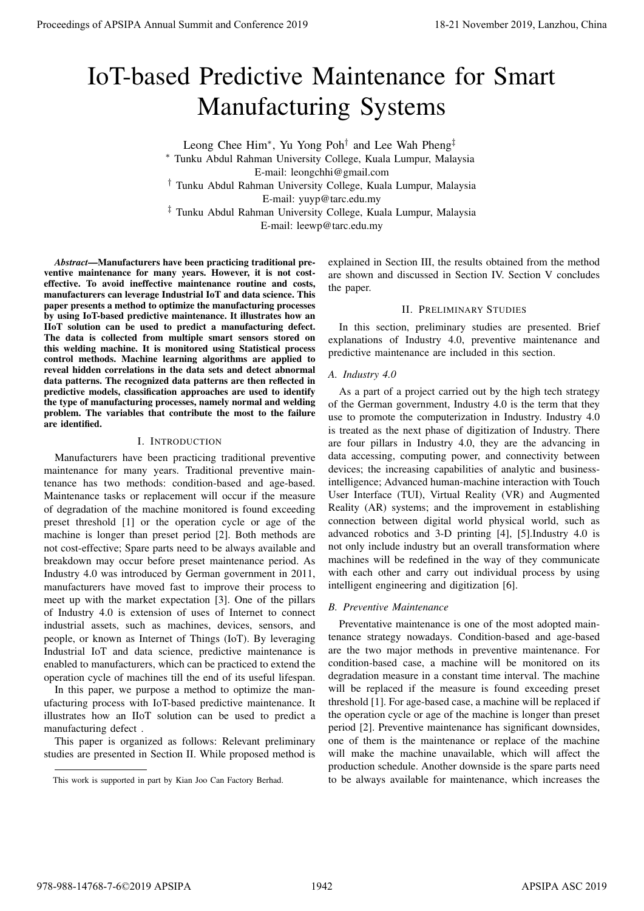# IoT-based Predictive Maintenance for Smart Manufacturing Systems

Leong Chee Him<sup>∗</sup> , Yu Yong Poh† and Lee Wah Pheng‡

<sup>∗</sup> Tunku Abdul Rahman University College, Kuala Lumpur, Malaysia E-mail: leongchhi@gmail.com

† Tunku Abdul Rahman University College, Kuala Lumpur, Malaysia

E-mail: yuyp@tarc.edu.my

‡ Tunku Abdul Rahman University College, Kuala Lumpur, Malaysia

E-mail: leewp@tarc.edu.my

*Abstract*—Manufacturers have been practicing traditional preventive maintenance for many years. However, it is not costeffective. To avoid ineffective maintenance routine and costs, manufacturers can leverage Industrial IoT and data science. This paper presents a method to optimize the manufacturing processes by using IoT-based predictive maintenance. It illustrates how an IIoT solution can be used to predict a manufacturing defect. The data is collected from multiple smart sensors stored on this welding machine. It is monitored using Statistical process control methods. Machine learning algorithms are applied to reveal hidden correlations in the data sets and detect abnormal data patterns. The recognized data patterns are then reflected in predictive models, classification approaches are used to identify the type of manufacturing processes, namely normal and welding problem. The variables that contribute the most to the failure are identified.

# I. INTRODUCTION

Manufacturers have been practicing traditional preventive maintenance for many years. Traditional preventive maintenance has two methods: condition-based and age-based. Maintenance tasks or replacement will occur if the measure of degradation of the machine monitored is found exceeding preset threshold [1] or the operation cycle or age of the machine is longer than preset period [2]. Both methods are not cost-effective; Spare parts need to be always available and breakdown may occur before preset maintenance period. As Industry 4.0 was introduced by German government in 2011, manufacturers have moved fast to improve their process to meet up with the market expectation [3]. One of the pillars of Industry 4.0 is extension of uses of Internet to connect industrial assets, such as machines, devices, sensors, and people, or known as Internet of Things (IoT). By leveraging Industrial IoT and data science, predictive maintenance is enabled to manufacturers, which can be practiced to extend the operation cycle of machines till the end of its useful lifespan. **Proceedings of APSIPA Annual Summit and Conference 2019**<br> **IOT Change of APSIPA Annual Summit and Conference 2019**<br> **ISSNET ANNUAL SUMMIT ANNUAL SUMMIT ANNUAL SUMMIT ANNUAL SUMMIT ANNUAL SUMMIT ANNUAL SUMMIT ANNUAL SUM** 

In this paper, we purpose a method to optimize the manufacturing process with IoT-based predictive maintenance. It illustrates how an IIoT solution can be used to predict a manufacturing defect .

This paper is organized as follows: Relevant preliminary studies are presented in Section II. While proposed method is explained in Section III, the results obtained from the method are shown and discussed in Section IV. Section V concludes the paper.

## II. PRELIMINARY STUDIES

In this section, preliminary studies are presented. Brief explanations of Industry 4.0, preventive maintenance and predictive maintenance are included in this section.

# *A. Industry 4.0*

As a part of a project carried out by the high tech strategy of the German government, Industry 4.0 is the term that they use to promote the computerization in Industry. Industry 4.0 is treated as the next phase of digitization of Industry. There are four pillars in Industry 4.0, they are the advancing in data accessing, computing power, and connectivity between devices; the increasing capabilities of analytic and businessintelligence; Advanced human-machine interaction with Touch User Interface (TUI), Virtual Reality (VR) and Augmented Reality (AR) systems; and the improvement in establishing connection between digital world physical world, such as advanced robotics and 3-D printing [4], [5].Industry 4.0 is not only include industry but an overall transformation where machines will be redefined in the way of they communicate with each other and carry out individual process by using intelligent engineering and digitization [6].

# *B. Preventive Maintenance*

Preventative maintenance is one of the most adopted maintenance strategy nowadays. Condition-based and age-based are the two major methods in preventive maintenance. For condition-based case, a machine will be monitored on its degradation measure in a constant time interval. The machine will be replaced if the measure is found exceeding preset threshold [1]. For age-based case, a machine will be replaced if the operation cycle or age of the machine is longer than preset period [2]. Preventive maintenance has significant downsides, one of them is the maintenance or replace of the machine will make the machine unavailable, which will affect the production schedule. Another downside is the spare parts need to be always available for maintenance, which increases the

This work is supported in part by Kian Joo Can Factory Berhad.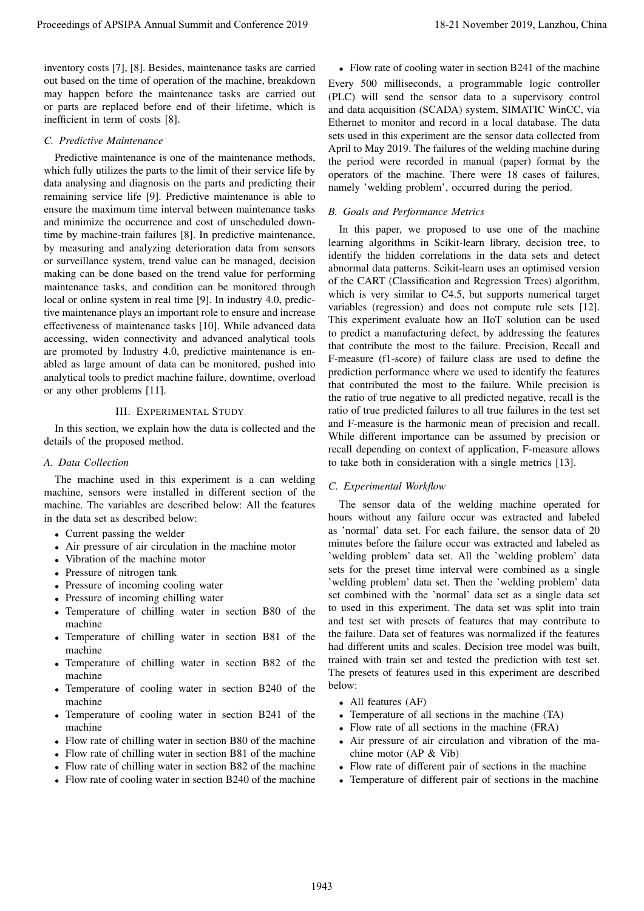inventory costs [7], [8]. Besides, maintenance tasks are carried out based on the time of operation of the machine, breakdown may happen before the maintenance tasks are carried out or parts are replaced before end of their lifetime, which is inefficient in term of costs [8].

# *C. Predictive Maintenance*

Predictive maintenance is one of the maintenance methods, which fully utilizes the parts to the limit of their service life by data analysing and diagnosis on the parts and predicting their remaining service life [9]. Predictive maintenance is able to ensure the maximum time interval between maintenance tasks and minimize the occurrence and cost of unscheduled downtime by machine-train failures [8]. In predictive maintenance, by measuring and analyzing deterioration data from sensors or surveillance system, trend value can be managed, decision making can be done based on the trend value for performing maintenance tasks, and condition can be monitored through local or online system in real time [9]. In industry 4.0, predictive maintenance plays an important role to ensure and increase effectiveness of maintenance tasks [10]. While advanced data accessing, widen connectivity and advanced analytical tools are promoted by Industry 4.0, predictive maintenance is enabled as large amount of data can be monitored, pushed into analytical tools to predict machine failure, downtime, overload or any other problems [11].

## III. EXPERIMENTAL STUDY

In this section, we explain how the data is collected and the details of the proposed method.

#### *A. Data Collection*

The machine used in this experiment is a can welding machine, sensors were installed in different section of the machine. The variables are described below: All the features in the data set as described below:

- Current passing the welder
- Air pressure of air circulation in the machine motor
- Vibration of the machine motor
- Pressure of nitrogen tank
- Pressure of incoming cooling water
- Pressure of incoming chilling water
- Temperature of chilling water in section B80 of the machine
- Temperature of chilling water in section B81 of the machine
- Temperature of chilling water in section B82 of the machine
- Temperature of cooling water in section B240 of the machine
- Temperature of cooling water in section B241 of the machine
- Flow rate of chilling water in section B80 of the machine
- Flow rate of chilling water in section B81 of the machine
- Flow rate of chilling water in section B82 of the machine
- Flow rate of cooling water in section B240 of the machine

• Flow rate of cooling water in section B241 of the machine Every 500 milliseconds, a programmable logic controller (PLC) will send the sensor data to a supervisory control and data acquisition (SCADA) system, SIMATIC WinCC, via Ethernet to monitor and record in a local database. The data sets used in this experiment are the sensor data collected from April to May 2019. The failures of the welding machine during the period were recorded in manual (paper) format by the operators of the machine. There were 18 cases of failures, namely 'welding problem', occurred during the period.

## *B. Goals and Performance Metrics*

In this paper, we proposed to use one of the machine learning algorithms in Scikit-learn library, decision tree, to identify the hidden correlations in the data sets and detect abnormal data patterns. Scikit-learn uses an optimised version of the CART (Classification and Regression Trees) algorithm, which is very similar to C4.5, but supports numerical target variables (regression) and does not compute rule sets [12]. This experiment evaluate how an IIoT solution can be used to predict a manufacturing defect, by addressing the features that contribute the most to the failure. Precision, Recall and F-measure (f1-score) of failure class are used to define the prediction performance where we used to identify the features that contributed the most to the failure. While precision is the ratio of true negative to all predicted negative, recall is the ratio of true predicted failures to all true failures in the test set and F-measure is the harmonic mean of precision and recall. While different importance can be assumed by precision or recall depending on context of application, F-measure allows to take both in consideration with a single metrics [13]. Proceedings of APSIPA Annual Summit and Conference 2019<br>
means on the Conference 2019 11 November 2019 11 November 2019 12 November 2019 12 November 2019 12 November 2019 12 November 2019 12 November 2019 12 November 2019

#### *C. Experimental Workflow*

The sensor data of the welding machine operated for hours without any failure occur was extracted and labeled as 'normal' data set. For each failure, the sensor data of 20 minutes before the failure occur was extracted and labeled as 'welding problem' data set. All the 'welding problem' data sets for the preset time interval were combined as a single 'welding problem' data set. Then the 'welding problem' data set combined with the 'normal' data set as a single data set to used in this experiment. The data set was split into train and test set with presets of features that may contribute to the failure. Data set of features was normalized if the features had different units and scales. Decision tree model was built, trained with train set and tested the prediction with test set. The presets of features used in this experiment are described below:

- All features (AF)
- Temperature of all sections in the machine (TA)
- Flow rate of all sections in the machine (FRA)
- Air pressure of air circulation and vibration of the machine motor (AP & Vib)
- Flow rate of different pair of sections in the machine
- Temperature of different pair of sections in the machine